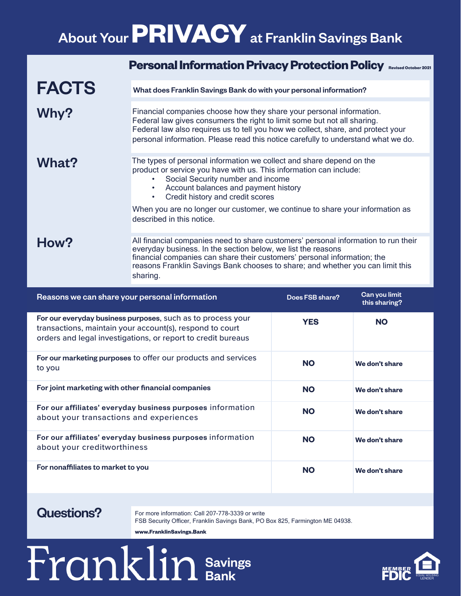## About Your **PRIVACY**at Franklin Savings Bank

|                                                                                    | <b>Personal Information Privacy Protection Policy</b><br><b>Revised October 2021</b>                                                                                                                                                                                                                                         |  |
|------------------------------------------------------------------------------------|------------------------------------------------------------------------------------------------------------------------------------------------------------------------------------------------------------------------------------------------------------------------------------------------------------------------------|--|
| <b>FACTS</b>                                                                       | What does Franklin Savings Bank do with your personal information?                                                                                                                                                                                                                                                           |  |
| Why?                                                                               | Financial companies choose how they share your personal information.<br>Federal law gives consumers the right to limit some but not all sharing.<br>Federal law also requires us to tell you how we collect, share, and protect your<br>personal information. Please read this notice carefully to understand what we do.    |  |
| What?                                                                              | The types of personal information we collect and share depend on the<br>product or service you have with us. This information can include:<br>Social Security number and income<br>Account balances and payment history<br>Credit history and credit scores<br>$\bullet$                                                     |  |
|                                                                                    | When you are no longer our customer, we continue to share your information as<br>described in this notice.                                                                                                                                                                                                                   |  |
| How?                                                                               | All financial companies need to share customers' personal information to run their<br>everyday business. In the section below, we list the reasons<br>financial companies can share their customers' personal information; the<br>reasons Franklin Savings Bank chooses to share; and whether you can limit this<br>sharing. |  |
| Can you limit<br>Reasons we can share your personal information<br>Does FSB share? |                                                                                                                                                                                                                                                                                                                              |  |

| Reasons we can share your personal information                                                                                                                                          | Does FSB share? | Gan you limit<br>this sharing? |
|-----------------------------------------------------------------------------------------------------------------------------------------------------------------------------------------|-----------------|--------------------------------|
| For our everyday business purposes, such as to process your<br>transactions, maintain your account(s), respond to court<br>orders and legal investigations, or report to credit bureaus | <b>YES</b>      | <b>NO</b>                      |
| For our marketing purposes to offer our products and services<br>to you                                                                                                                 | <b>NO</b>       | We don't share                 |
| For joint marketing with other financial companies                                                                                                                                      | <b>NO</b>       | We don't share                 |
| For our affiliates' everyday business purposes information<br>about your transactions and experiences                                                                                   | <b>NO</b>       | We don't share                 |
| For our affiliates' everyday business purposes information<br>about your creditworthiness                                                                                               | <b>NO</b>       | We don't share                 |
| For nonaffiliates to market to you                                                                                                                                                      | <b>NO</b>       | We don't share                 |

#### Questions?

For more information: Call 207-778-3339 or write FSB Security Officer, Franklin Savings Bank, PO Box 825, Farmington ME 04938.

**www.FranklinSavings.Bank**

# Franklin Savings